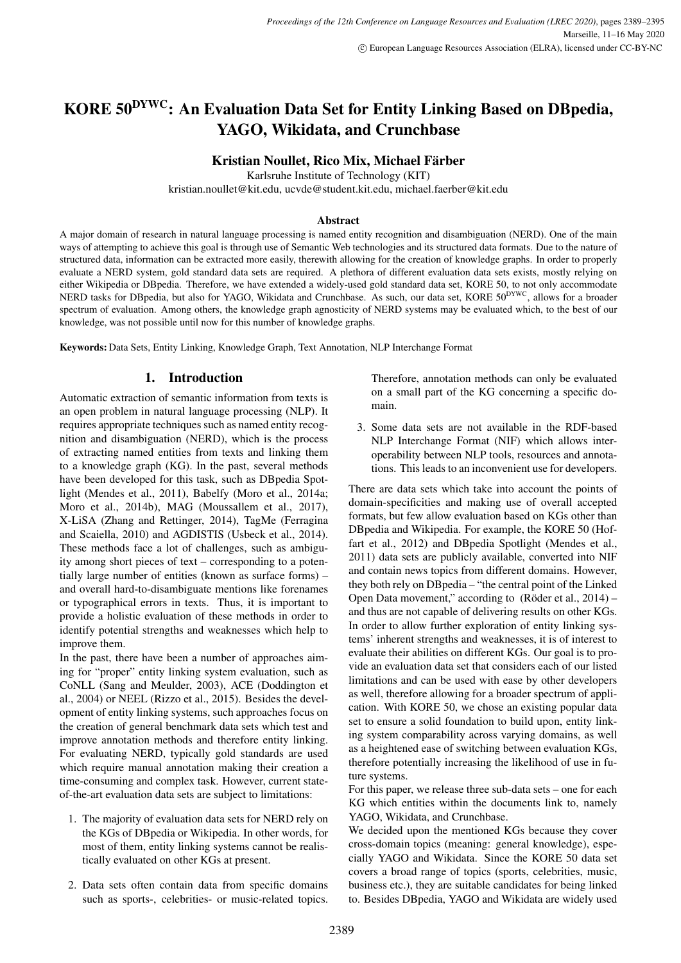# KORE 50DYWC: An Evaluation Data Set for Entity Linking Based on DBpedia, YAGO, Wikidata, and Crunchbase

Kristian Noullet, Rico Mix, Michael Färber

Karlsruhe Institute of Technology (KIT)

kristian.noullet@kit.edu, ucvde@student.kit.edu, michael.faerber@kit.edu

#### Abstract

A major domain of research in natural language processing is named entity recognition and disambiguation (NERD). One of the main ways of attempting to achieve this goal is through use of Semantic Web technologies and its structured data formats. Due to the nature of structured data, information can be extracted more easily, therewith allowing for the creation of knowledge graphs. In order to properly evaluate a NERD system, gold standard data sets are required. A plethora of different evaluation data sets exists, mostly relying on either Wikipedia or DBpedia. Therefore, we have extended a widely-used gold standard data set, KORE 50, to not only accommodate NERD tasks for DBpedia, but also for YAGO, Wikidata and Crunchbase. As such, our data set, KORE 50<sup>DYWC</sup>, allows for a broader spectrum of evaluation. Among others, the knowledge graph agnosticity of NERD systems may be evaluated which, to the best of our knowledge, was not possible until now for this number of knowledge graphs.

Keywords: Data Sets, Entity Linking, Knowledge Graph, Text Annotation, NLP Interchange Format

# 1. Introduction

Automatic extraction of semantic information from texts is an open problem in natural language processing (NLP). It requires appropriate techniques such as named entity recognition and disambiguation (NERD), which is the process of extracting named entities from texts and linking them to a knowledge graph (KG). In the past, several methods have been developed for this task, such as DBpedia Spotlight [\(Mendes et al., 2011\)](#page-5-0), Babelfy [\(Moro et al., 2014a;](#page-5-1) [Moro et al., 2014b\)](#page-5-2), MAG [\(Moussallem et al., 2017\)](#page-5-3), X-LiSA [\(Zhang and Rettinger, 2014\)](#page-6-0), TagMe [\(Ferragina](#page-5-4) [and Scaiella, 2010\)](#page-5-4) and AGDISTIS [\(Usbeck et al., 2014\)](#page-6-1). These methods face a lot of challenges, such as ambiguity among short pieces of text – corresponding to a potentially large number of entities (known as surface forms) – and overall hard-to-disambiguate mentions like forenames or typographical errors in texts. Thus, it is important to provide a holistic evaluation of these methods in order to identify potential strengths and weaknesses which help to improve them.

In the past, there have been a number of approaches aiming for "proper" entity linking system evaluation, such as CoNLL [\(Sang and Meulder, 2003\)](#page-6-2), ACE [\(Doddington et](#page-5-5) [al., 2004\)](#page-5-5) or NEEL [\(Rizzo et al., 2015\)](#page-6-3). Besides the development of entity linking systems, such approaches focus on the creation of general benchmark data sets which test and improve annotation methods and therefore entity linking. For evaluating NERD, typically gold standards are used which require manual annotation making their creation a time-consuming and complex task. However, current stateof-the-art evaluation data sets are subject to limitations:

- 1. The majority of evaluation data sets for NERD rely on the KGs of DBpedia or Wikipedia. In other words, for most of them, entity linking systems cannot be realistically evaluated on other KGs at present.
- 2. Data sets often contain data from specific domains such as sports-, celebrities- or music-related topics.

Therefore, annotation methods can only be evaluated on a small part of the KG concerning a specific domain.

3. Some data sets are not available in the RDF-based NLP Interchange Format (NIF) which allows interoperability between NLP tools, resources and annotations. This leads to an inconvenient use for developers.

There are data sets which take into account the points of domain-specificities and making use of overall accepted formats, but few allow evaluation based on KGs other than DBpedia and Wikipedia. For example, the KORE 50 [\(Hof](#page-5-6)[fart et al., 2012\)](#page-5-6) and DBpedia Spotlight [\(Mendes et al.,](#page-5-0) [2011\)](#page-5-0) data sets are publicly available, converted into NIF and contain news topics from different domains. However, they both rely on DBpedia – "the central point of the Linked Open Data movement," according to  $(Röder et al., 2014)$  – and thus are not capable of delivering results on other KGs. In order to allow further exploration of entity linking systems' inherent strengths and weaknesses, it is of interest to evaluate their abilities on different KGs. Our goal is to provide an evaluation data set that considers each of our listed limitations and can be used with ease by other developers as well, therefore allowing for a broader spectrum of application. With KORE 50, we chose an existing popular data set to ensure a solid foundation to build upon, entity linking system comparability across varying domains, as well as a heightened ease of switching between evaluation KGs, therefore potentially increasing the likelihood of use in future systems.

For this paper, we release three sub-data sets – one for each KG which entities within the documents link to, namely YAGO, Wikidata, and Crunchbase.

We decided upon the mentioned KGs because they cover cross-domain topics (meaning: general knowledge), especially YAGO and Wikidata. Since the KORE 50 data set covers a broad range of topics (sports, celebrities, music, business etc.), they are suitable candidates for being linked to. Besides DBpedia, YAGO and Wikidata are widely used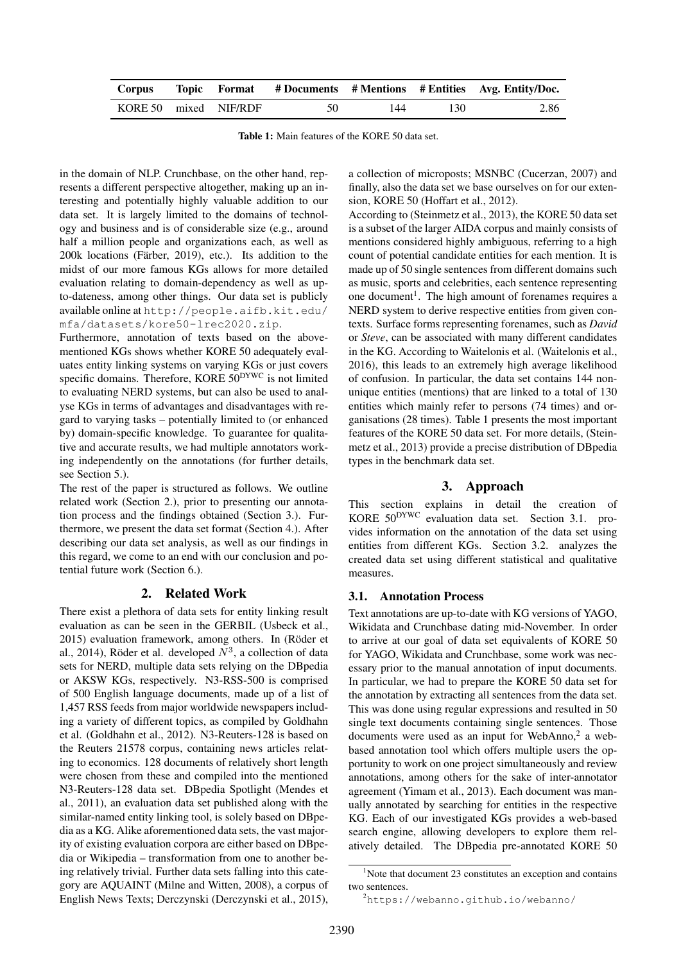<span id="page-1-3"></span>

| Corpus                |  |    |     |     | Topic Format #Documents #Mentions #Entities Avg. Entity/Doc. |
|-----------------------|--|----|-----|-----|--------------------------------------------------------------|
| KORE 50 mixed NIF/RDF |  | 50 | 144 | 130 | 2.86                                                         |

Table 1: Main features of the KORE 50 data set.

in the domain of NLP. Crunchbase, on the other hand, represents a different perspective altogether, making up an interesting and potentially highly valuable addition to our data set. It is largely limited to the domains of technology and business and is of considerable size (e.g., around half a million people and organizations each, as well as  $200k$  locations (Färber, 2019), etc.). Its addition to the midst of our more famous KGs allows for more detailed evaluation relating to domain-dependency as well as upto-dateness, among other things. Our data set is publicly available online at [http://people.aifb.kit.edu/](http://people.aifb.kit.edu/mfa/datasets/kore50-lrec2020.zip) [mfa/datasets/kore50-lrec2020.zip](http://people.aifb.kit.edu/mfa/datasets/kore50-lrec2020.zip).

Furthermore, annotation of texts based on the abovementioned KGs shows whether KORE 50 adequately evaluates entity linking systems on varying KGs or just covers specific domains. Therefore, KORE 50<sup>DYWC</sup> is not limited to evaluating NERD systems, but can also be used to analyse KGs in terms of advantages and disadvantages with regard to varying tasks – potentially limited to (or enhanced by) domain-specific knowledge. To guarantee for qualitative and accurate results, we had multiple annotators working independently on the annotations (for further details, see Section [5.\)](#page-2-0).

The rest of the paper is structured as follows. We outline related work (Section [2.\)](#page-1-0), prior to presenting our annotation process and the findings obtained (Section [3.\)](#page-1-1). Furthermore, we present the data set format (Section [4.\)](#page-2-1). After describing our data set analysis, as well as our findings in this regard, we come to an end with our conclusion and potential future work (Section [6.\)](#page-5-8).

# 2. Related Work

<span id="page-1-0"></span>There exist a plethora of data sets for entity linking result evaluation as can be seen in the GERBIL [\(Usbeck et al.,](#page-6-5) [2015\)](#page-6-5) evaluation framework, among others. In (Röder et [al., 2014\)](#page-6-4), Röder et al. developed  $N^3$ , a collection of data sets for NERD, multiple data sets relying on the DBpedia or AKSW KGs, respectively. N3-RSS-500 is comprised of 500 English language documents, made up of a list of 1,457 RSS feeds from major worldwide newspapers including a variety of different topics, as compiled by Goldhahn et al. [\(Goldhahn et al., 2012\)](#page-5-9). N3-Reuters-128 is based on the Reuters 21578 corpus, containing news articles relating to economics. 128 documents of relatively short length were chosen from these and compiled into the mentioned N3-Reuters-128 data set. DBpedia Spotlight [\(Mendes et](#page-5-0) [al., 2011\)](#page-5-0), an evaluation data set published along with the similar-named entity linking tool, is solely based on DBpedia as a KG. Alike aforementioned data sets, the vast majority of existing evaluation corpora are either based on DBpedia or Wikipedia – transformation from one to another being relatively trivial. Further data sets falling into this category are AQUAINT [\(Milne and Witten, 2008\)](#page-5-10), a corpus of English News Texts; Derczynski [\(Derczynski et al., 2015\)](#page-5-11),

a collection of microposts; MSNBC [\(Cucerzan, 2007\)](#page-5-12) and finally, also the data set we base ourselves on for our extension, KORE 50 [\(Hoffart et al., 2012\)](#page-5-6).

According to [\(Steinmetz et al., 2013\)](#page-6-6), the KORE 50 data set is a subset of the larger AIDA corpus and mainly consists of mentions considered highly ambiguous, referring to a high count of potential candidate entities for each mention. It is made up of 50 single sentences from different domains such as music, sports and celebrities, each sentence representing one document<sup>[1](#page-1-2)</sup>. The high amount of forenames requires a NERD system to derive respective entities from given contexts. Surface forms representing forenames, such as *David* or *Steve*, can be associated with many different candidates in the KG. According to Waitelonis et al. [\(Waitelonis et al.,](#page-6-7) [2016\)](#page-6-7), this leads to an extremely high average likelihood of confusion. In particular, the data set contains 144 nonunique entities (mentions) that are linked to a total of 130 entities which mainly refer to persons (74 times) and organisations (28 times). Table [1](#page-1-3) presents the most important features of the KORE 50 data set. For more details, [\(Stein](#page-6-6)[metz et al., 2013\)](#page-6-6) provide a precise distribution of DBpedia types in the benchmark data set.

# 3. Approach

<span id="page-1-1"></span>This section explains in detail the creation of KORE 50DYWC evaluation data set. Section [3.1.](#page-1-4) provides information on the annotation of the data set using entities from different KGs. Section [3.2.](#page-2-2) analyzes the created data set using different statistical and qualitative measures.

# <span id="page-1-4"></span>3.1. Annotation Process

Text annotations are up-to-date with KG versions of YAGO, Wikidata and Crunchbase dating mid-November. In order to arrive at our goal of data set equivalents of KORE 50 for YAGO, Wikidata and Crunchbase, some work was necessary prior to the manual annotation of input documents. In particular, we had to prepare the KORE 50 data set for the annotation by extracting all sentences from the data set. This was done using regular expressions and resulted in 50 single text documents containing single sentences. Those documents were used as an input for WebAnno,<sup>[2](#page-1-5)</sup> a webbased annotation tool which offers multiple users the opportunity to work on one project simultaneously and review annotations, among others for the sake of inter-annotator agreement [\(Yimam et al., 2013\)](#page-6-8). Each document was manually annotated by searching for entities in the respective KG. Each of our investigated KGs provides a web-based search engine, allowing developers to explore them relatively detailed. The DBpedia pre-annotated KORE 50

<span id="page-1-2"></span><sup>&</sup>lt;sup>1</sup>Note that document 23 constitutes an exception and contains two sentences.

<span id="page-1-5"></span><sup>2</sup><https://webanno.github.io/webanno/>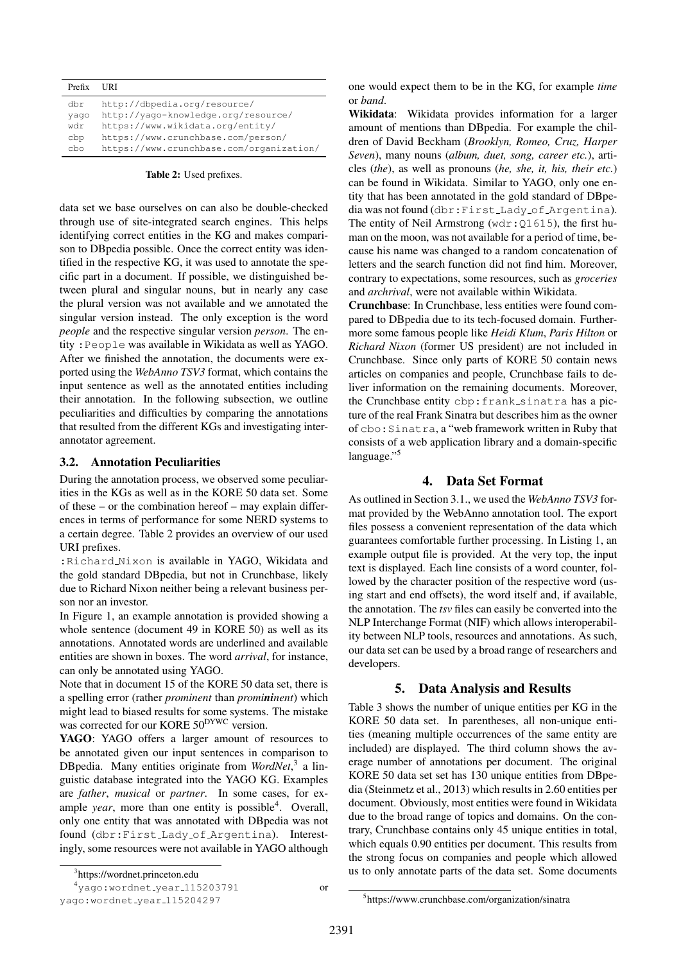<span id="page-2-3"></span>

| Prefix | I IRT                                    |
|--------|------------------------------------------|
| dbr    | http://dbpedia.org/resource/             |
| yaqo   | http://yaqo-knowledge.org/resource/      |
| wdr    | https://www.wikidata.org/entity/         |
| cbp    | https://www.crunchbase.com/person/       |
| cho    | https://www.crunchbase.com/organization/ |

Table 2: Used prefixes.

data set we base ourselves on can also be double-checked through use of site-integrated search engines. This helps identifying correct entities in the KG and makes comparison to DBpedia possible. Once the correct entity was identified in the respective KG, it was used to annotate the specific part in a document. If possible, we distinguished between plural and singular nouns, but in nearly any case the plural version was not available and we annotated the singular version instead. The only exception is the word *people* and the respective singular version *person*. The entity :People was available in Wikidata as well as YAGO. After we finished the annotation, the documents were exported using the *WebAnno TSV3* format, which contains the input sentence as well as the annotated entities including their annotation. In the following subsection, we outline peculiarities and difficulties by comparing the annotations that resulted from the different KGs and investigating interannotator agreement.

### <span id="page-2-2"></span>3.2. Annotation Peculiarities

During the annotation process, we observed some peculiarities in the KGs as well as in the KORE 50 data set. Some of these – or the combination hereof – may explain differences in terms of performance for some NERD systems to a certain degree. Table [2](#page-2-3) provides an overview of our used URI prefixes.

:Richard Nixon is available in YAGO, Wikidata and the gold standard DBpedia, but not in Crunchbase, likely due to Richard Nixon neither being a relevant business person nor an investor.

In Figure [1,](#page-3-0) an example annotation is provided showing a whole sentence (document 49 in KORE 50) as well as its annotations. Annotated words are underlined and available entities are shown in boxes. The word *arrival*, for instance, can only be annotated using YAGO.

Note that in document 15 of the KORE 50 data set, there is a spelling error (rather *prominent* than *promininent*) which might lead to biased results for some systems. The mistake was corrected for our KORE 50<sup>DYWC</sup> version.

YAGO: YAGO offers a larger amount of resources to be annotated given our input sentences in comparison to DBpedia. Many entities originate from *WordNet*, [3](#page-2-4) a linguistic database integrated into the YAGO KG. Examples are *father*, *musical* or *partner*. In some cases, for example *year*, more than one entity is possible<sup>[4](#page-2-5)</sup>. Overall, only one entity that was annotated with DBpedia was not found (dbr:First Lady of Argentina). Interestingly, some resources were not available in YAGO although

<sup>4</sup>yago:wordnet year 115203791 or

one would expect them to be in the KG, for example *time* or *band*.

Wikidata: Wikidata provides information for a larger amount of mentions than DBpedia. For example the children of David Beckham (*Brooklyn, Romeo, Cruz, Harper Seven*), many nouns (*album, duet, song, career etc.*), articles (*the*), as well as pronouns (*he, she, it, his, their etc.*) can be found in Wikidata. Similar to YAGO, only one entity that has been annotated in the gold standard of DBpedia was not found (dbr:First Lady of Argentina). The entity of Neil Armstrong ( $wdr:Q1615$ ), the first human on the moon, was not available for a period of time, because his name was changed to a random concatenation of letters and the search function did not find him. Moreover, contrary to expectations, some resources, such as *groceries* and *archrival*, were not available within Wikidata.

Crunchbase: In Crunchbase, less entities were found compared to DBpedia due to its tech-focused domain. Furthermore some famous people like *Heidi Klum*, *Paris Hilton* or *Richard Nixon* (former US president) are not included in Crunchbase. Since only parts of KORE 50 contain news articles on companies and people, Crunchbase fails to deliver information on the remaining documents. Moreover, the Crunchbase entity cbp: frank\_sinatra has a picture of the real Frank Sinatra but describes him as the owner of cbo:Sinatra, a "web framework written in Ruby that consists of a web application library and a domain-specific language."[5](#page-2-6)

# 4. Data Set Format

<span id="page-2-1"></span>As outlined in Section [3.1.,](#page-1-4) we used the *WebAnno TSV3* format provided by the WebAnno annotation tool. The export files possess a convenient representation of the data which guarantees comfortable further processing. In Listing [1,](#page-3-1) an example output file is provided. At the very top, the input text is displayed. Each line consists of a word counter, followed by the character position of the respective word (using start and end offsets), the word itself and, if available, the annotation. The *tsv* files can easily be converted into the NLP Interchange Format (NIF) which allows interoperability between NLP tools, resources and annotations. As such, our data set can be used by a broad range of researchers and developers.

# 5. Data Analysis and Results

<span id="page-2-0"></span>Table [3](#page-3-2) shows the number of unique entities per KG in the KORE 50 data set. In parentheses, all non-unique entities (meaning multiple occurrences of the same entity are included) are displayed. The third column shows the average number of annotations per document. The original KORE 50 data set set has 130 unique entities from DBpedia [\(Steinmetz et al., 2013\)](#page-6-6) which results in 2.60 entities per document. Obviously, most entities were found in Wikidata due to the broad range of topics and domains. On the contrary, Crunchbase contains only 45 unique entities in total, which equals 0.90 entities per document. This results from the strong focus on companies and people which allowed us to only annotate parts of the data set. Some documents

<span id="page-2-6"></span>5 https://www.crunchbase.com/organization/sinatra

<span id="page-2-5"></span><span id="page-2-4"></span><sup>3</sup> https://wordnet.princeton.edu

yago:wordnet year 115204297

<sup>2391</sup>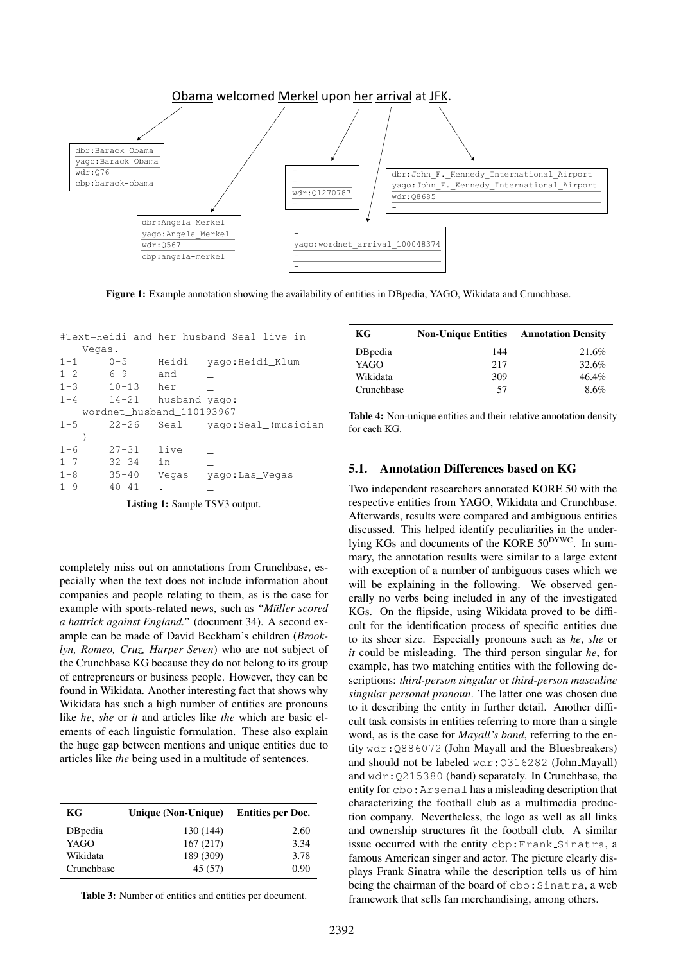<span id="page-3-0"></span>

Figure 1: Example annotation showing the availability of entities in DBpedia, YAGO, Wikidata and Crunchbase.

<span id="page-3-1"></span>#Text=Heidi and her husband Seal live in Vegas.

| $1 - 1$ | $0 - 5$   | Heidi                     | yago: Heidi_Klum    |
|---------|-----------|---------------------------|---------------------|
| $1 - 2$ | $6 - 9$   | and                       |                     |
| $1 - 3$ | $10 - 13$ | her                       |                     |
| $1 - 4$ | $14 - 21$ | husband yago:             |                     |
|         |           | wordnet_husband_110193967 |                     |
| $1 - 5$ | $22 - 26$ | Seal                      | yago:Seal_(musician |
|         |           |                           |                     |
| $1 - 6$ | $27 - 31$ | live                      |                     |
| $1 - 7$ | $32 - 34$ | in                        |                     |
| $1 - 8$ | $35 - 40$ | Vegas                     | yago:Las_Vegas      |
| $1 - 9$ | $40 - 41$ |                           |                     |
|         |           |                           |                     |

Listing 1: Sample TSV3 output.

completely miss out on annotations from Crunchbase, especially when the text does not include information about companies and people relating to them, as is the case for example with sports-related news, such as *"Muller scored ¨ a hattrick against England."* (document 34). A second example can be made of David Beckham's children (*Brooklyn, Romeo, Cruz, Harper Seven*) who are not subject of the Crunchbase KG because they do not belong to its group of entrepreneurs or business people. However, they can be found in Wikidata. Another interesting fact that shows why Wikidata has such a high number of entities are pronouns like *he*, *she* or *it* and articles like *the* which are basic elements of each linguistic formulation. These also explain the huge gap between mentions and unique entities due to articles like *the* being used in a multitude of sentences.

<span id="page-3-2"></span>

| КG         | Unique (Non-Unique) | <b>Entities per Doc.</b> |
|------------|---------------------|--------------------------|
| DBpedia    | 130 (144)           | 2.60                     |
| YAGO       | 167(217)            | 3.34                     |
| Wikidata   | 189 (309)           | 3.78                     |
| Crunchbase | 45 (57)             | 0.90                     |

Table 3: Number of entities and entities per document.

<span id="page-3-3"></span>

| KG         | <b>Non-Unique Entities</b> | <b>Annotation Density</b> |
|------------|----------------------------|---------------------------|
| DBpedia    | 144                        | 21.6%                     |
| YAGO       | 217                        | 32.6%                     |
| Wikidata   | 309                        | $46.4\%$                  |
| Crunchbase | 57                         | 8.6%                      |

Table 4: Non-unique entities and their relative annotation density for each KG.

### 5.1. Annotation Differences based on KG

Two independent researchers annotated KORE 50 with the respective entities from YAGO, Wikidata and Crunchbase. Afterwards, results were compared and ambiguous entities discussed. This helped identify peculiarities in the underlying KGs and documents of the KORE 50<sup>DYWC</sup>. In summary, the annotation results were similar to a large extent with exception of a number of ambiguous cases which we will be explaining in the following. We observed generally no verbs being included in any of the investigated KGs. On the flipside, using Wikidata proved to be difficult for the identification process of specific entities due to its sheer size. Especially pronouns such as *he*, *she* or *it* could be misleading. The third person singular *he*, for example, has two matching entities with the following descriptions: *third-person singular* or *third-person masculine singular personal pronoun*. The latter one was chosen due to it describing the entity in further detail. Another difficult task consists in entities referring to more than a single word, as is the case for *Mayall's band*, referring to the entity wdr: Q886072 (John\_Mayall\_and\_the\_Bluesbreakers) and should not be labeled wdr:Q316282 (John Mayall) and wdr:Q215380 (band) separately. In Crunchbase, the entity for cbo:Arsenal has a misleading description that characterizing the football club as a multimedia production company. Nevertheless, the logo as well as all links and ownership structures fit the football club. A similar issue occurred with the entity cbp:Frank Sinatra, a famous American singer and actor. The picture clearly displays Frank Sinatra while the description tells us of him being the chairman of the board of cbo: Sinatra, a web framework that sells fan merchandising, among others.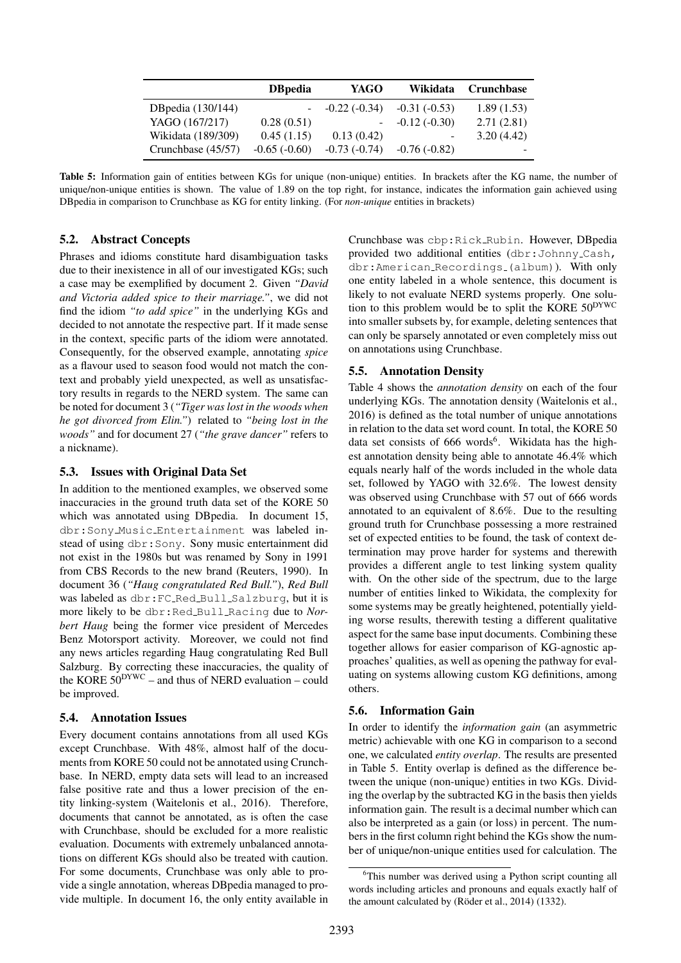<span id="page-4-1"></span>

|                    | <b>D</b> Bpedia | YAGO           | Wikidata       | <b>Crunchbase</b> |
|--------------------|-----------------|----------------|----------------|-------------------|
| DB pedia (130/144) |                 | $-0.22(-0.34)$ | $-0.31(-0.53)$ | 1.89(1.53)        |
| YAGO (167/217)     | 0.28(0.51)      | $\blacksquare$ | $-0.12(-0.30)$ | 2.71(2.81)        |
| Wikidata (189/309) | 0.45(1.15)      | 0.13(0.42)     |                | 3.20(4.42)        |
| Crunchbase (45/57) | $-0.65(-0.60)$  | $-0.73(-0.74)$ | $-0.76(-0.82)$ |                   |

Table 5: Information gain of entities between KGs for unique (non-unique) entities. In brackets after the KG name, the number of unique/non-unique entities is shown. The value of 1.89 on the top right, for instance, indicates the information gain achieved using DBpedia in comparison to Crunchbase as KG for entity linking. (For *non-unique* entities in brackets)

## 5.2. Abstract Concepts

Phrases and idioms constitute hard disambiguation tasks due to their inexistence in all of our investigated KGs; such a case may be exemplified by document 2. Given *"David and Victoria added spice to their marriage."*, we did not find the idiom *"to add spice"* in the underlying KGs and decided to not annotate the respective part. If it made sense in the context, specific parts of the idiom were annotated. Consequently, for the observed example, annotating *spice* as a flavour used to season food would not match the context and probably yield unexpected, as well as unsatisfactory results in regards to the NERD system. The same can be noted for document 3 (*"Tiger was lost in the woods when he got divorced from Elin."*) related to *"being lost in the woods"* and for document 27 (*"the grave dancer"* refers to a nickname).

## 5.3. Issues with Original Data Set

In addition to the mentioned examples, we observed some inaccuracies in the ground truth data set of the KORE 50 which was annotated using DBpedia. In document 15, dbr:Sony Music Entertainment was labeled instead of using dbr: Sony. Sony music entertainment did not exist in the 1980s but was renamed by Sony in 1991 from CBS Records to the new brand [\(Reuters, 1990\)](#page-6-9). In document 36 (*"Haug congratulated Red Bull."*), *Red Bull* was labeled as dbr:FC Red Bull Salzburg, but it is more likely to be dbr:Red Bull Racing due to *Norbert Haug* being the former vice president of Mercedes Benz Motorsport activity. Moreover, we could not find any news articles regarding Haug congratulating Red Bull Salzburg. By correcting these inaccuracies, the quality of the KORE  $50^{DYWC}$  – and thus of NERD evaluation – could be improved.

#### 5.4. Annotation Issues

Every document contains annotations from all used KGs except Crunchbase. With 48%, almost half of the documents from KORE 50 could not be annotated using Crunchbase. In NERD, empty data sets will lead to an increased false positive rate and thus a lower precision of the entity linking-system [\(Waitelonis et al., 2016\)](#page-6-7). Therefore, documents that cannot be annotated, as is often the case with Crunchbase, should be excluded for a more realistic evaluation. Documents with extremely unbalanced annotations on different KGs should also be treated with caution. For some documents, Crunchbase was only able to provide a single annotation, whereas DBpedia managed to provide multiple. In document 16, the only entity available in Crunchbase was cbp:Rick Rubin. However, DBpedia provided two additional entities (dbr:Johnny Cash, dbr:American Recordings (album)). With only one entity labeled in a whole sentence, this document is likely to not evaluate NERD systems properly. One solution to this problem would be to split the KORE  $50^{DYWC}$ into smaller subsets by, for example, deleting sentences that can only be sparsely annotated or even completely miss out on annotations using Crunchbase.

#### 5.5. Annotation Density

Table [4](#page-3-3) shows the *annotation density* on each of the four underlying KGs. The annotation density [\(Waitelonis et al.,](#page-6-7) [2016\)](#page-6-7) is defined as the total number of unique annotations in relation to the data set word count. In total, the KORE 50 data set consists of [6](#page-4-0)66 words<sup>6</sup>. Wikidata has the highest annotation density being able to annotate 46.4% which equals nearly half of the words included in the whole data set, followed by YAGO with 32.6%. The lowest density was observed using Crunchbase with 57 out of 666 words annotated to an equivalent of 8.6%. Due to the resulting ground truth for Crunchbase possessing a more restrained set of expected entities to be found, the task of context determination may prove harder for systems and therewith provides a different angle to test linking system quality with. On the other side of the spectrum, due to the large number of entities linked to Wikidata, the complexity for some systems may be greatly heightened, potentially yielding worse results, therewith testing a different qualitative aspect for the same base input documents. Combining these together allows for easier comparison of KG-agnostic approaches' qualities, as well as opening the pathway for evaluating on systems allowing custom KG definitions, among others.

# 5.6. Information Gain

In order to identify the *information gain* (an asymmetric metric) achievable with one KG in comparison to a second one, we calculated *entity overlap*. The results are presented in Table [5.](#page-4-1) Entity overlap is defined as the difference between the unique (non-unique) entities in two KGs. Dividing the overlap by the subtracted KG in the basis then yields information gain. The result is a decimal number which can also be interpreted as a gain (or loss) in percent. The numbers in the first column right behind the KGs show the number of unique/non-unique entities used for calculation. The

<span id="page-4-0"></span><sup>&</sup>lt;sup>6</sup>This number was derived using a Python script counting all words including articles and pronouns and equals exactly half of the amount calculated by (Röder et al.,  $2014$ ) (1332).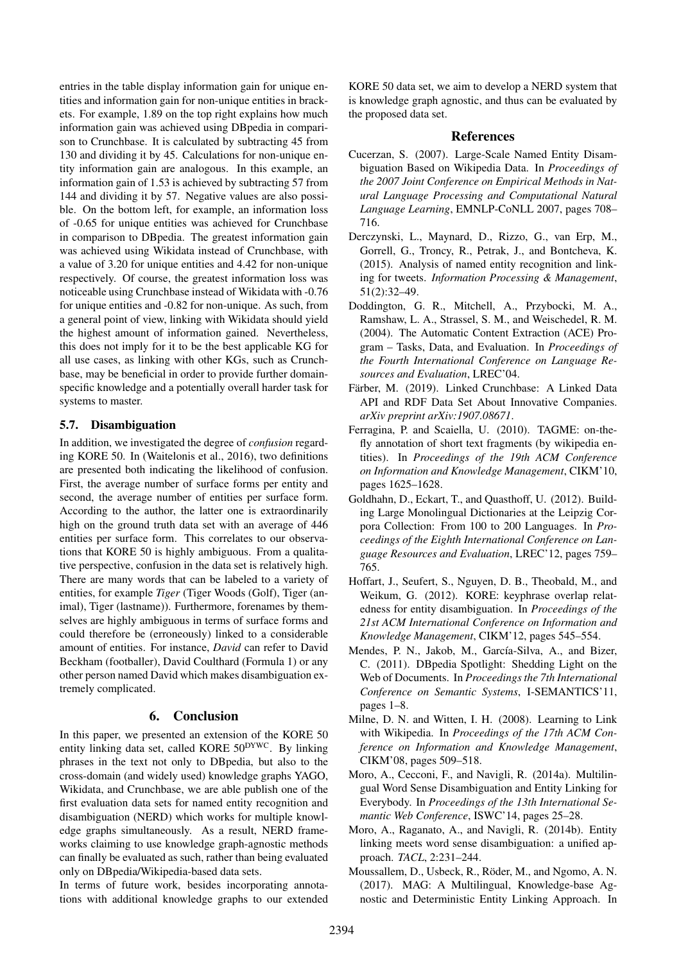entries in the table display information gain for unique entities and information gain for non-unique entities in brackets. For example, 1.89 on the top right explains how much information gain was achieved using DBpedia in comparison to Crunchbase. It is calculated by subtracting 45 from 130 and dividing it by 45. Calculations for non-unique entity information gain are analogous. In this example, an information gain of 1.53 is achieved by subtracting 57 from 144 and dividing it by 57. Negative values are also possible. On the bottom left, for example, an information loss of -0.65 for unique entities was achieved for Crunchbase in comparison to DBpedia. The greatest information gain was achieved using Wikidata instead of Crunchbase, with a value of 3.20 for unique entities and 4.42 for non-unique respectively. Of course, the greatest information loss was noticeable using Crunchbase instead of Wikidata with -0.76 for unique entities and -0.82 for non-unique. As such, from a general point of view, linking with Wikidata should yield the highest amount of information gained. Nevertheless, this does not imply for it to be the best applicable KG for all use cases, as linking with other KGs, such as Crunchbase, may be beneficial in order to provide further domainspecific knowledge and a potentially overall harder task for systems to master.

# 5.7. Disambiguation

In addition, we investigated the degree of *confusion* regarding KORE 50. In [\(Waitelonis et al., 2016\)](#page-6-7), two definitions are presented both indicating the likelihood of confusion. First, the average number of surface forms per entity and second, the average number of entities per surface form. According to the author, the latter one is extraordinarily high on the ground truth data set with an average of 446 entities per surface form. This correlates to our observations that KORE 50 is highly ambiguous. From a qualitative perspective, confusion in the data set is relatively high. There are many words that can be labeled to a variety of entities, for example *Tiger* (Tiger Woods (Golf), Tiger (animal), Tiger (lastname)). Furthermore, forenames by themselves are highly ambiguous in terms of surface forms and could therefore be (erroneously) linked to a considerable amount of entities. For instance, *David* can refer to David Beckham (footballer), David Coulthard (Formula 1) or any other person named David which makes disambiguation extremely complicated.

# 6. Conclusion

<span id="page-5-8"></span>In this paper, we presented an extension of the KORE 50 entity linking data set, called KORE 50DYWC. By linking phrases in the text not only to DBpedia, but also to the cross-domain (and widely used) knowledge graphs YAGO, Wikidata, and Crunchbase, we are able publish one of the first evaluation data sets for named entity recognition and disambiguation (NERD) which works for multiple knowledge graphs simultaneously. As a result, NERD frameworks claiming to use knowledge graph-agnostic methods can finally be evaluated as such, rather than being evaluated only on DBpedia/Wikipedia-based data sets.

In terms of future work, besides incorporating annotations with additional knowledge graphs to our extended KORE 50 data set, we aim to develop a NERD system that is knowledge graph agnostic, and thus can be evaluated by the proposed data set.

## **References**

- <span id="page-5-12"></span>Cucerzan, S. (2007). Large-Scale Named Entity Disambiguation Based on Wikipedia Data. In *Proceedings of the 2007 Joint Conference on Empirical Methods in Natural Language Processing and Computational Natural Language Learning*, EMNLP-CoNLL 2007, pages 708– 716.
- <span id="page-5-11"></span>Derczynski, L., Maynard, D., Rizzo, G., van Erp, M., Gorrell, G., Troncy, R., Petrak, J., and Bontcheva, K. (2015). Analysis of named entity recognition and linking for tweets. *Information Processing & Management*, 51(2):32–49.
- <span id="page-5-5"></span>Doddington, G. R., Mitchell, A., Przybocki, M. A., Ramshaw, L. A., Strassel, S. M., and Weischedel, R. M. (2004). The Automatic Content Extraction (ACE) Program – Tasks, Data, and Evaluation. In *Proceedings of the Fourth International Conference on Language Resources and Evaluation*, LREC'04.
- <span id="page-5-7"></span>Färber, M. (2019). Linked Crunchbase: A Linked Data API and RDF Data Set About Innovative Companies. *arXiv preprint arXiv:1907.08671*.
- <span id="page-5-4"></span>Ferragina, P. and Scaiella, U. (2010). TAGME: on-thefly annotation of short text fragments (by wikipedia entities). In *Proceedings of the 19th ACM Conference on Information and Knowledge Management*, CIKM'10, pages 1625–1628.
- <span id="page-5-9"></span>Goldhahn, D., Eckart, T., and Quasthoff, U. (2012). Building Large Monolingual Dictionaries at the Leipzig Corpora Collection: From 100 to 200 Languages. In *Proceedings of the Eighth International Conference on Language Resources and Evaluation*, LREC'12, pages 759– 765.
- <span id="page-5-6"></span>Hoffart, J., Seufert, S., Nguyen, D. B., Theobald, M., and Weikum, G. (2012). KORE: keyphrase overlap relatedness for entity disambiguation. In *Proceedings of the 21st ACM International Conference on Information and Knowledge Management*, CIKM'12, pages 545–554.
- <span id="page-5-0"></span>Mendes, P. N., Jakob, M., García-Silva, A., and Bizer, C. (2011). DBpedia Spotlight: Shedding Light on the Web of Documents. In *Proceedings the 7th International Conference on Semantic Systems*, I-SEMANTICS'11, pages 1–8.
- <span id="page-5-10"></span>Milne, D. N. and Witten, I. H. (2008). Learning to Link with Wikipedia. In *Proceedings of the 17th ACM Conference on Information and Knowledge Management*, CIKM'08, pages 509–518.
- <span id="page-5-1"></span>Moro, A., Cecconi, F., and Navigli, R. (2014a). Multilingual Word Sense Disambiguation and Entity Linking for Everybody. In *Proceedings of the 13th International Semantic Web Conference*, ISWC'14, pages 25–28.
- <span id="page-5-2"></span>Moro, A., Raganato, A., and Navigli, R. (2014b). Entity linking meets word sense disambiguation: a unified approach. *TACL*, 2:231–244.
- <span id="page-5-3"></span>Moussallem, D., Usbeck, R., Röder, M., and Ngomo, A. N. (2017). MAG: A Multilingual, Knowledge-base Agnostic and Deterministic Entity Linking Approach. In